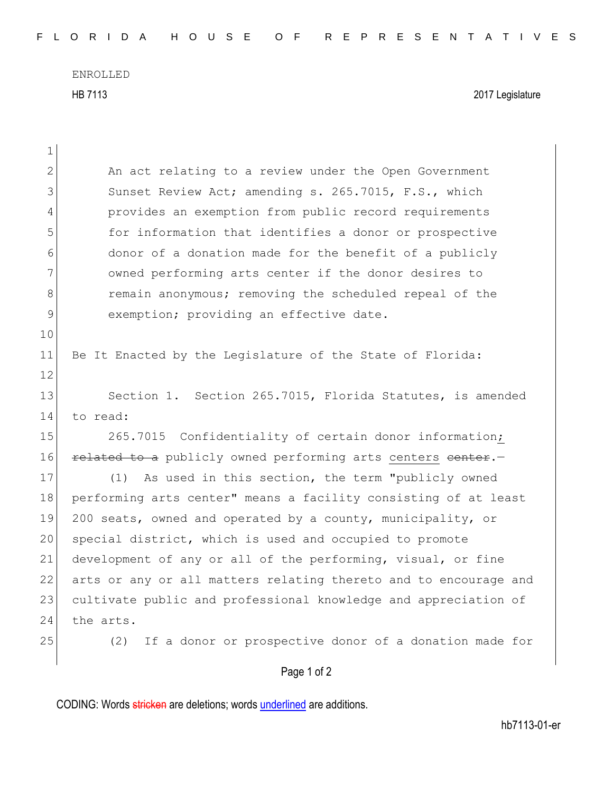ENROLLED HB 7113 2017 Legislature

|                | Page 1 of 2                                                      |
|----------------|------------------------------------------------------------------|
| 25             | If a donor or prospective donor of a donation made for<br>(2)    |
| 24             | the arts.                                                        |
| 23             | cultivate public and professional knowledge and appreciation of  |
| 22             | arts or any or all matters relating thereto and to encourage and |
| 21             | development of any or all of the performing, visual, or fine     |
| 20             | special district, which is used and occupied to promote          |
| 19             | 200 seats, owned and operated by a county, municipality, or      |
| 18             | performing arts center" means a facility consisting of at least  |
| 17             | (1) As used in this section, the term "publicly owned            |
| 16             | related to a publicly owned performing arts centers center.      |
| 15             | 265.7015 Confidentiality of certain donor information;           |
| 14             | to read:                                                         |
| 13             | Section 1. Section 265.7015, Florida Statutes, is amended        |
| 12             |                                                                  |
| 11             | Be It Enacted by the Legislature of the State of Florida:        |
| 10             |                                                                  |
| 9              | exemption; providing an effective date.                          |
| 8              | remain anonymous; removing the scheduled repeal of the           |
| 7              | owned performing arts center if the donor desires to             |
| 6              | donor of a donation made for the benefit of a publicly           |
| 5              | for information that identifies a donor or prospective           |
| 4              | provides an exemption from public record requirements            |
| 3              | Sunset Review Act; amending s. 265.7015, F.S., which             |
| $\overline{2}$ | An act relating to a review under the Open Government            |
| $\mathbf 1$    |                                                                  |

CODING: Words stricken are deletions; words underlined are additions.